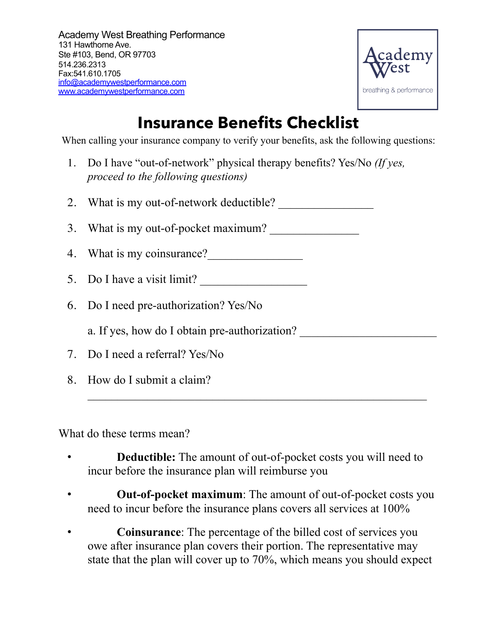

## **Insurance Benefits Checklist**

When calling your insurance company to verify your benefits, ask the following questions:

1. Do I have "out-of-network" physical therapy benefits? Yes/No *(If yes, proceed to the following questions)* 

2. What is my out-of-network deductible?

3. What is my out-of-pocket maximum?

- 4. What is my coinsurance?
- 5. Do I have a visit limit?
- 6. Do I need pre-authorization? Yes/No

a. If yes, how do I obtain pre-authorization?

- 7. Do I need a referral? Yes/No
- 8. How do I submit a claim?

What do these terms mean?

• **Deductible:** The amount of out-of-pocket costs you will need to incur before the insurance plan will reimburse you

 $\mathcal{L}_\text{max}$  , and the contract of the contract of the contract of the contract of the contract of the contract of the contract of the contract of the contract of the contract of the contract of the contract of the contr

- **Out-of-pocket maximum**: The amount of out-of-pocket costs you need to incur before the insurance plans covers all services at 100%
- **Coinsurance**: The percentage of the billed cost of services you owe after insurance plan covers their portion. The representative may state that the plan will cover up to 70%, which means you should expect